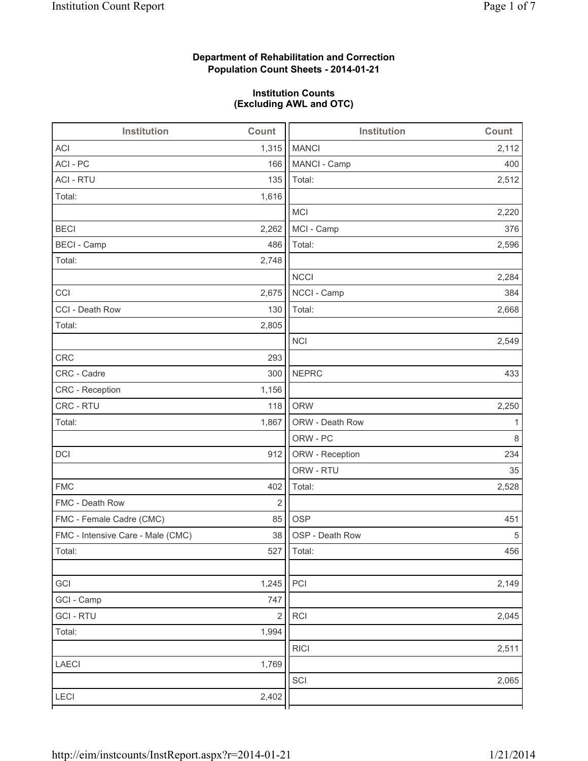# **Department of Rehabilitation and Correction Population Count Sheets - 2014-01-21**

# **Institution Counts (Excluding AWL and OTC)**

| Institution                       | Count                   | <b>Institution</b> | Count |
|-----------------------------------|-------------------------|--------------------|-------|
| <b>ACI</b>                        | 1,315                   | <b>MANCI</b>       | 2,112 |
| ACI - PC                          | 166                     | MANCI - Camp       | 400   |
| <b>ACI - RTU</b>                  | 135                     | Total:             | 2,512 |
| Total:                            | 1,616                   |                    |       |
|                                   |                         | <b>MCI</b>         | 2,220 |
| <b>BECI</b>                       | 2,262                   | MCI - Camp         | 376   |
| <b>BECI - Camp</b>                | 486                     | Total:             | 2,596 |
| Total:                            | 2,748                   |                    |       |
|                                   |                         | <b>NCCI</b>        | 2,284 |
| CCI                               | 2,675                   | NCCI - Camp        | 384   |
| CCI - Death Row                   | 130                     | Total:             | 2,668 |
| Total:                            | 2,805                   |                    |       |
|                                   |                         | <b>NCI</b>         | 2,549 |
| <b>CRC</b>                        | 293                     |                    |       |
| CRC - Cadre                       | 300                     | <b>NEPRC</b>       | 433   |
| CRC - Reception                   | 1,156                   |                    |       |
| CRC - RTU                         | 118                     | <b>ORW</b>         | 2,250 |
| Total:                            | 1,867                   | ORW - Death Row    | 1     |
|                                   |                         | ORW - PC           | 8     |
| DCI                               | 912                     | ORW - Reception    | 234   |
|                                   |                         | ORW - RTU          | 35    |
| <b>FMC</b>                        | 402                     | Total:             | 2,528 |
| FMC - Death Row                   | $\overline{2}$          |                    |       |
| FMC - Female Cadre (CMC)          | 85                      | <b>OSP</b>         | 451   |
| FMC - Intensive Care - Male (CMC) | 38                      | OSP - Death Row    | 5     |
| Total:                            |                         | 527 Total:         | 456   |
|                                   |                         |                    |       |
| GCI                               | 1,245                   | PCI                | 2,149 |
| GCI - Camp                        | 747                     |                    |       |
| <b>GCI-RTU</b>                    | $\overline{\mathbf{c}}$ | RCI                | 2,045 |
| Total:                            | 1,994                   |                    |       |
|                                   |                         | <b>RICI</b>        | 2,511 |
| LAECI                             | 1,769                   |                    |       |
|                                   |                         | SCI                | 2,065 |
| LECI                              | 2,402                   |                    |       |
|                                   |                         |                    |       |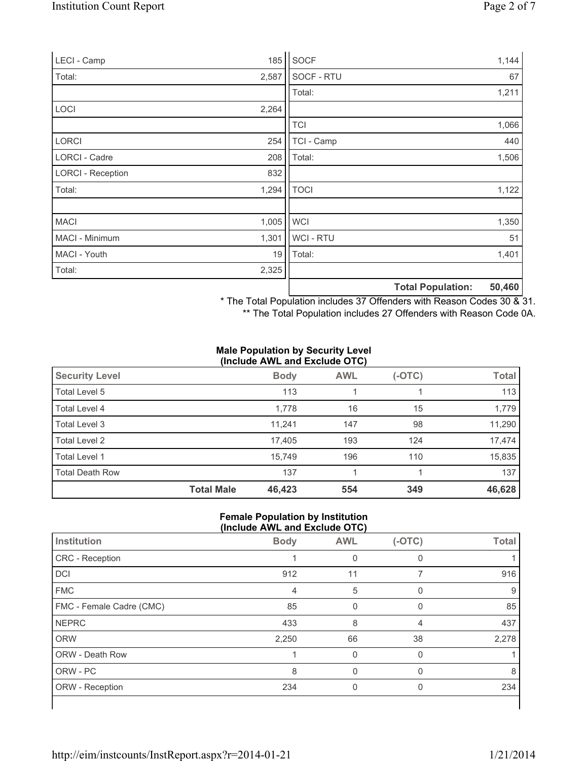| LECI - Camp              | 185   | SOCF           |                          | 1,144  |
|--------------------------|-------|----------------|--------------------------|--------|
| Total:                   | 2,587 | SOCF - RTU     |                          | 67     |
|                          |       | Total:         |                          | 1,211  |
| <b>LOCI</b>              | 2,264 |                |                          |        |
|                          |       | <b>TCI</b>     |                          | 1,066  |
| <b>LORCI</b>             | 254   | TCI - Camp     |                          | 440    |
| LORCI - Cadre            | 208   | Total:         |                          | 1,506  |
| <b>LORCI - Reception</b> | 832   |                |                          |        |
| Total:                   | 1,294 | <b>TOCI</b>    |                          | 1,122  |
|                          |       |                |                          |        |
| <b>MACI</b>              | 1,005 | <b>WCI</b>     |                          | 1,350  |
| MACI - Minimum           | 1,301 | <b>WCI-RTU</b> |                          | 51     |
| MACI - Youth             | 19    | Total:         |                          | 1,401  |
| Total:                   | 2,325 |                |                          |        |
|                          |       |                | <b>Total Population:</b> | 50,460 |

\* The Total Population includes 37 Offenders with Reason Codes 30 & 31.

\*\* The Total Population includes 27 Offenders with Reason Code 0A.

#### **Male Population by Security Level (Include AWL and Exclude OTC)**

| <b>Security Level</b>  |                   | <b>Body</b> | <b>AWL</b> | (-OTC) | <b>Total</b> |
|------------------------|-------------------|-------------|------------|--------|--------------|
| Total Level 5          |                   | 113         |            |        | 113          |
| Total Level 4          |                   | 1,778       | 16         | 15     | 1,779        |
| Total Level 3          |                   | 11,241      | 147        | 98     | 11,290       |
| Total Level 2          |                   | 17,405      | 193        | 124    | 17,474       |
| Total Level 1          |                   | 15,749      | 196        | 110    | 15,835       |
| <b>Total Death Row</b> |                   | 137         |            |        | 137          |
|                        | <b>Total Male</b> | 46,423      | 554        | 349    | 46,628       |

#### **Female Population by Institution (Include AWL and Exclude OTC)**

| Institution              | <b>Body</b> | <b>AWL</b> | $(-OTC)$ | <b>Total</b> |
|--------------------------|-------------|------------|----------|--------------|
| CRC - Reception          |             |            | 0        |              |
| DCI                      | 912         | 11         |          | 916          |
| <b>FMC</b>               | 4           | 5          | 0        | 9            |
| FMC - Female Cadre (CMC) | 85          | 0          | 0        | 85           |
| <b>NEPRC</b>             | 433         | 8          | 4        | 437          |
| <b>ORW</b>               | 2,250       | 66         | 38       | 2,278        |
| <b>ORW - Death Row</b>   |             | 0          | $\Omega$ |              |
| ORW - PC                 | 8           |            |          | 8            |
| ORW - Reception          | 234         | 0          | 0        | 234          |
|                          |             |            |          |              |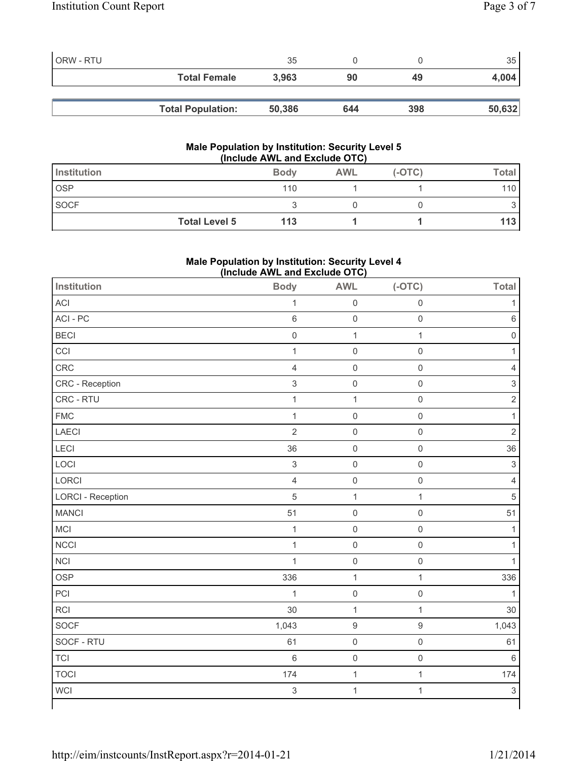| ORW - RTU |                          | 35     |     |     | 35 <sup>1</sup> |
|-----------|--------------------------|--------|-----|-----|-----------------|
|           | <b>Total Female</b>      | 3,963  | 90  | 49  | 4,004           |
|           |                          |        |     |     |                 |
|           | <b>Total Population:</b> | 50,386 | 644 | 398 | 50,632          |

#### **Male Population by Institution: Security Level 5 (Include AWL and Exclude OTC)**

| Institution          | <b>Body</b> | <b>AWL</b> | $(-OTC)$ | Total |
|----------------------|-------------|------------|----------|-------|
| <b>OSP</b>           | 110         |            |          | 110   |
| <b>SOCF</b>          |             |            |          |       |
| <b>Total Level 5</b> | 113         |            |          | 113 I |

# **Male Population by Institution: Security Level 4 (Include AWL and Exclude OTC)**

| Institution              | <b>Body</b>         | <b>AWL</b>          | $(-OTC)$            | <b>Total</b>              |
|--------------------------|---------------------|---------------------|---------------------|---------------------------|
| ACI                      | $\mathbf{1}$        | $\mathsf{O}\xspace$ | $\mathsf{O}\xspace$ | $\mathbf{1}$              |
| ACI-PC                   | 6                   | $\mathsf{O}\xspace$ | $\mathbf 0$         | $\,6\,$                   |
| <b>BECI</b>              | $\mathsf{O}\xspace$ | $\mathbf 1$         | $\mathbf 1$         | $\mathsf{O}\xspace$       |
| CCI                      | $\mathbf{1}$        | $\mathsf{O}\xspace$ | $\mathbf 0$         | $\mathbf{1}$              |
| CRC                      | $\overline{4}$      | $\mathsf 0$         | $\mathsf{O}\xspace$ | $\overline{4}$            |
| CRC - Reception          | $\mathsf 3$         | $\mathsf{O}\xspace$ | $\mathsf{O}\xspace$ | $\mathsf 3$               |
| CRC - RTU                | $\mathbf{1}$        | $\mathbf 1$         | $\mathsf{O}\xspace$ | $\mathbf 2$               |
| <b>FMC</b>               | $\mathbf{1}$        | $\mathsf 0$         | $\mathsf{O}\xspace$ | $\mathbf{1}$              |
| <b>LAECI</b>             | $\overline{2}$      | $\mathsf{O}\xspace$ | $\mathbf 0$         | $\mathbf 2$               |
| <b>LECI</b>              | 36                  | $\mathsf{O}\xspace$ | $\mathbf 0$         | 36                        |
| LOCI                     | $\mathsf 3$         | $\mathsf{O}\xspace$ | $\mathsf 0$         | $\mathsf 3$               |
| LORCI                    | $\overline{4}$      | $\mathsf{O}\xspace$ | $\mathbf 0$         | $\overline{\mathbf{4}}$   |
| <b>LORCI - Reception</b> | 5                   | $\mathbf{1}$        | $\mathbf{1}$        | 5                         |
| <b>MANCI</b>             | 51                  | $\mathsf{O}\xspace$ | $\mathsf{O}\xspace$ | 51                        |
| MCI                      | $\mathbf{1}$        | $\mathbf 0$         | $\mathbf 0$         | $\mathbf{1}$              |
| <b>NCCI</b>              | $\mathbf{1}$        | $\mathsf 0$         | $\mathsf{O}\xspace$ | $\mathbf{1}$              |
| <b>NCI</b>               | $\mathbf{1}$        | $\mathsf{O}\xspace$ | $\mathbf 0$         | 1                         |
| <b>OSP</b>               | 336                 | $\mathbf{1}$        | $\mathbf{1}$        | 336                       |
| PCI                      | $\mathbf 1$         | $\mathsf{O}\xspace$ | $\mathbf 0$         | $\mathbf{1}$              |
| <b>RCI</b>               | 30                  | $\mathbf{1}$        | $\mathbf 1$         | 30                        |
| SOCF                     | 1,043               | $\boldsymbol{9}$    | $\boldsymbol{9}$    | 1,043                     |
| SOCF - RTU               | 61                  | $\mathsf{O}\xspace$ | $\mathsf{O}\xspace$ | 61                        |
| <b>TCI</b>               | $\,6$               | $\mathsf{O}\xspace$ | $\mathbf 0$         | $\,6\,$                   |
| <b>TOCI</b>              | 174                 | $\mathbf{1}$        | $\mathbf{1}$        | 174                       |
| <b>WCI</b>               | $\,$ 3 $\,$         | $\mathbf{1}$        | $\mathbf 1$         | $\ensuremath{\mathsf{3}}$ |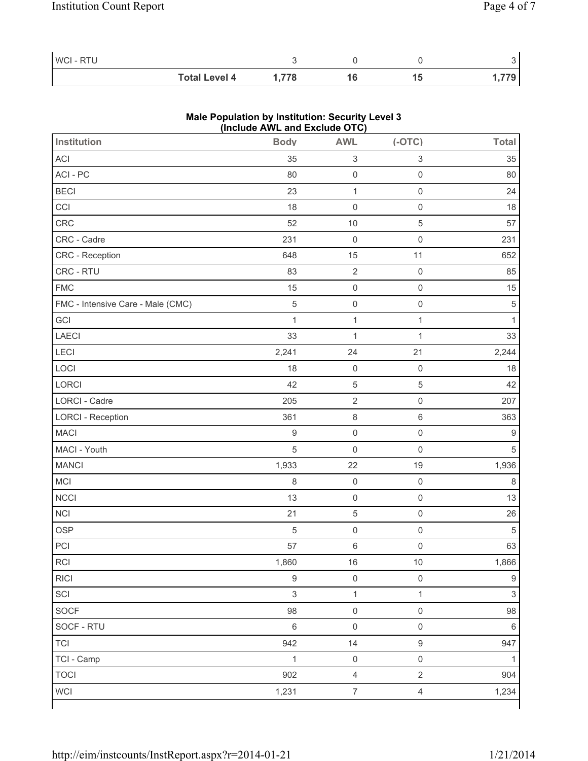| WCI - RTU |                      |       |  |  |
|-----------|----------------------|-------|--|--|
|           | <b>Total Level 4</b> | 778.، |  |  |

# **Male Population by Institution: Security Level 3 (Include AWL and Exclude OTC)**

| <b>Institution</b>                | <b>Body</b>    | <b>AWL</b>                | $(-OTC)$                  | <b>Total</b>     |
|-----------------------------------|----------------|---------------------------|---------------------------|------------------|
| ACI                               | 35             | $\ensuremath{\mathsf{3}}$ | $\ensuremath{\mathsf{3}}$ | 35               |
| ACI - PC                          | 80             | $\mathsf{O}\xspace$       | $\mathsf{O}\xspace$       | 80               |
| <b>BECI</b>                       | 23             | $\mathbf{1}$              | $\mathsf{O}\xspace$       | 24               |
| CCI                               | 18             | $\mathsf{O}\xspace$       | $\mathsf{O}\xspace$       | 18               |
| CRC                               | 52             | 10                        | 5                         | 57               |
| CRC - Cadre                       | 231            | $\mathsf{O}\xspace$       | $\mathsf{O}\xspace$       | 231              |
| CRC - Reception                   | 648            | 15                        | 11                        | 652              |
| CRC - RTU                         | 83             | $\overline{2}$            | $\mathsf{O}\xspace$       | 85               |
| <b>FMC</b>                        | 15             | $\mathsf 0$               | $\mathsf{O}\xspace$       | 15               |
| FMC - Intensive Care - Male (CMC) | $\sqrt{5}$     | $\mathsf{O}\xspace$       | $\mathsf{O}\xspace$       | $\sqrt{5}$       |
| GCI                               | $\mathbf 1$    | $\mathbf{1}$              | $\mathbf 1$               | 1                |
| LAECI                             | 33             | $\mathbf 1$               | $\mathbf{1}$              | 33               |
| <b>LECI</b>                       | 2,241          | 24                        | 21                        | 2,244            |
| LOCI                              | 18             | $\mathsf 0$               | $\mathsf{O}\xspace$       | 18               |
| LORCI                             | 42             | $\,$ 5 $\,$               | 5                         | 42               |
| LORCI - Cadre                     | 205            | $\sqrt{2}$                | $\mathbf 0$               | 207              |
| <b>LORCI - Reception</b>          | 361            | $\,8\,$                   | $\,6\,$                   | 363              |
| <b>MACI</b>                       | $\mathsf g$    | $\mathsf{O}\xspace$       | $\mathsf 0$               | $\boldsymbol{9}$ |
| MACI - Youth                      | $\sqrt{5}$     | $\mathsf{O}\xspace$       | $\mathbf 0$               | $\sqrt{5}$       |
| <b>MANCI</b>                      | 1,933          | 22                        | 19                        | 1,936            |
| MCI                               | 8              | $\mathsf{O}\xspace$       | $\mathsf{O}\xspace$       | $\,8\,$          |
| <b>NCCI</b>                       | 13             | $\mathsf{O}\xspace$       | $\mathsf{O}\xspace$       | 13               |
| <b>NCI</b>                        | 21             | $\sqrt{5}$                | $\mathsf{O}\xspace$       | 26               |
| <b>OSP</b>                        | 5              | $\mathsf 0$               | $\mathsf{O}\xspace$       | $\sqrt{5}$       |
| PCI                               | 57             | $\,6\,$                   | $\mathsf{O}\xspace$       | 63               |
| RCI                               | 1,860          | $16\,$                    | $10\,$                    | 1,866            |
| <b>RICI</b>                       | 9              | $\mathsf{O}\xspace$       | $\mathsf 0$               | $\boldsymbol{9}$ |
| SCI                               | $\mathfrak{S}$ | $\mathbf{1}$              | $\mathbf{1}$              | $\mathfrak{S}$   |
| SOCF                              | 98             | $\mathsf{O}\xspace$       | $\mathsf{O}\xspace$       | 98               |
| SOCF - RTU                        | $\,6\,$        | $\mathsf{O}\xspace$       | $\mathsf{O}\xspace$       | $\,6\,$          |
| <b>TCI</b>                        | 942            | 14                        | $\mathsf g$               | 947              |
| TCI - Camp                        | $\mathbf{1}$   | $\mathsf{O}\xspace$       | $\mathsf{O}\xspace$       | 1                |
| <b>TOCI</b>                       | 902            | $\overline{4}$            | $\overline{2}$            | 904              |
| <b>WCI</b>                        | 1,231          | $\overline{7}$            | $\overline{4}$            | 1,234            |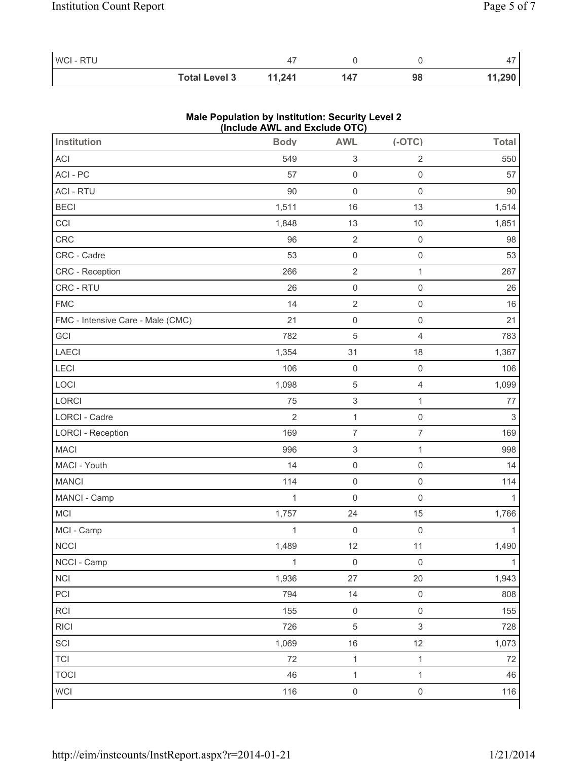| WCI-RTU |                      |        |     |    |        |
|---------|----------------------|--------|-----|----|--------|
|         | <b>Total Level 3</b> | 11.241 | 147 | 98 | 11,290 |

# **Male Population by Institution: Security Level 2 (Include AWL and Exclude OTC)**

| <b>Institution</b>                | <b>Body</b>    | <b>AWL</b>                | $(-OTC)$                  | <b>Total</b> |
|-----------------------------------|----------------|---------------------------|---------------------------|--------------|
| ACI                               | 549            | $\ensuremath{\mathsf{3}}$ | $\sqrt{2}$                | 550          |
| ACI - PC                          | 57             | $\mathsf 0$               | $\mathsf{O}\xspace$       | 57           |
| <b>ACI - RTU</b>                  | 90             | $\mathsf{O}\xspace$       | $\mathbf 0$               | 90           |
| <b>BECI</b>                       | 1,511          | 16                        | 13                        | 1,514        |
| CCI                               | 1,848          | 13                        | 10                        | 1,851        |
| CRC                               | 96             | $\sqrt{2}$                | $\mathsf{O}\xspace$       | 98           |
| CRC - Cadre                       | 53             | $\mathsf{O}\xspace$       | $\mathsf{O}\xspace$       | 53           |
| CRC - Reception                   | 266            | $\sqrt{2}$                | $\mathbf{1}$              | 267          |
| CRC - RTU                         | 26             | $\mathsf 0$               | $\mathsf{O}\xspace$       | 26           |
| <b>FMC</b>                        | 14             | $\sqrt{2}$                | $\mathsf{O}\xspace$       | 16           |
| FMC - Intensive Care - Male (CMC) | 21             | $\mathsf{O}\xspace$       | $\mathbf 0$               | 21           |
| GCI                               | 782            | $\,$ 5 $\,$               | 4                         | 783          |
| LAECI                             | 1,354          | 31                        | 18                        | 1,367        |
| <b>LECI</b>                       | 106            | $\mathsf 0$               | $\mathsf{O}\xspace$       | 106          |
| LOCI                              | 1,098          | $\,$ 5 $\,$               | $\overline{4}$            | 1,099        |
| LORCI                             | 75             | $\ensuremath{\mathsf{3}}$ | $\mathbf{1}$              | 77           |
| LORCI - Cadre                     | $\overline{2}$ | $\mathbf 1$               | $\mathsf{O}\xspace$       | $\sqrt{3}$   |
| <b>LORCI - Reception</b>          | 169            | $\overline{7}$            | $\overline{7}$            | 169          |
| <b>MACI</b>                       | 996            | $\ensuremath{\mathsf{3}}$ | $\mathbf{1}$              | 998          |
| MACI - Youth                      | 14             | $\mathsf{O}\xspace$       | $\mathsf{O}\xspace$       | 14           |
| <b>MANCI</b>                      | 114            | $\mathsf 0$               | $\mathbf 0$               | 114          |
| MANCI - Camp                      | $\mathbf{1}$   | $\mathsf{O}\xspace$       | $\mathsf{O}\xspace$       | 1            |
| MCI                               | 1,757          | 24                        | 15                        | 1,766        |
| MCI - Camp                        | $\mathbf{1}$   | $\mathsf{O}\xspace$       | $\mathsf{O}\xspace$       | 1            |
| <b>NCCI</b>                       | 1,489          | 12                        | 11                        | 1,490        |
| NCCI - Camp                       | $\mathbf{1}$   | $\mathsf 0$               | $\mathbf 0$               | $\mathbf{1}$ |
| <b>NCI</b>                        | 1,936          | 27                        | 20                        | 1,943        |
| PCI                               | 794            | 14                        | $\mathsf{O}\xspace$       | 808          |
| RCI                               | 155            | $\mathsf 0$               | $\mathsf 0$               | 155          |
| <b>RICI</b>                       | 726            | $\,$ 5 $\,$               | $\ensuremath{\mathsf{3}}$ | 728          |
| SCI                               | 1,069          | 16                        | 12                        | 1,073        |
| <b>TCI</b>                        | 72             | $\mathbf{1}$              | $\mathbf{1}$              | 72           |
| <b>TOCI</b>                       | 46             | $\mathbf{1}$              | $\mathbf{1}$              | 46           |
| <b>WCI</b>                        | 116            | $\mathsf{O}\xspace$       | $\mathsf{O}\xspace$       | 116          |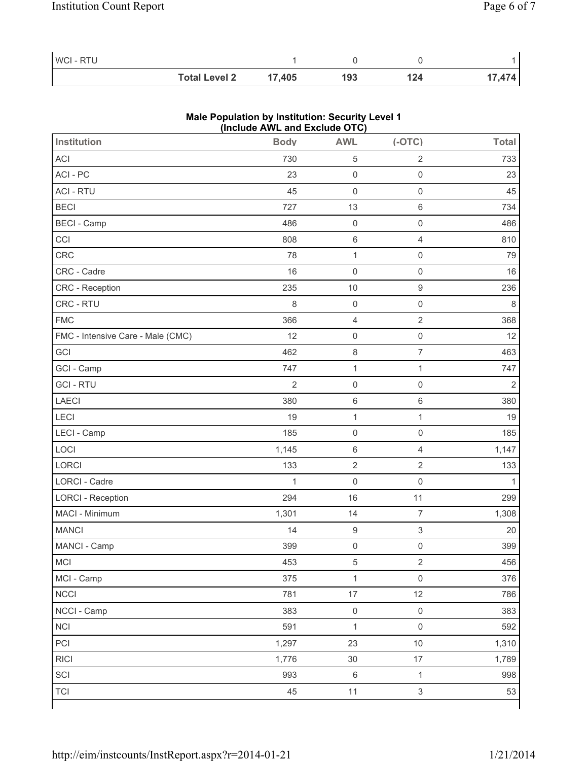| <b>WCI-RTU</b> |                      |        |     |     |        |
|----------------|----------------------|--------|-----|-----|--------|
|                | <b>Total Level 2</b> | 17,405 | 193 | 124 | 17,474 |

# **Male Population by Institution: Security Level 1 (Include AWL and Exclude OTC)**

| <b>Institution</b>                | <b>Body</b>    | <b>AWL</b>          | $(-OTC)$                  | <b>Total</b>   |
|-----------------------------------|----------------|---------------------|---------------------------|----------------|
| <b>ACI</b>                        | 730            | $\sqrt{5}$          | $\overline{2}$            | 733            |
| ACI-PC                            | 23             | $\mathsf 0$         | $\mathsf{O}\xspace$       | 23             |
| <b>ACI - RTU</b>                  | 45             | $\mathsf 0$         | $\mathsf 0$               | 45             |
| <b>BECI</b>                       | 727            | 13                  | $\,6$                     | 734            |
| <b>BECI - Camp</b>                | 486            | $\mathsf 0$         | $\mathsf 0$               | 486            |
| CCI                               | 808            | $\,6\,$             | $\overline{4}$            | 810            |
| CRC                               | 78             | $\mathbf{1}$        | $\mathsf{O}\xspace$       | 79             |
| CRC - Cadre                       | 16             | $\mathsf{O}\xspace$ | $\mathbf 0$               | 16             |
| CRC - Reception                   | 235            | 10                  | $\mathsf g$               | 236            |
| CRC - RTU                         | 8              | $\mathsf{O}\xspace$ | $\mathsf 0$               | $\,8\,$        |
| <b>FMC</b>                        | 366            | 4                   | $\sqrt{2}$                | 368            |
| FMC - Intensive Care - Male (CMC) | 12             | $\mathsf{O}\xspace$ | $\mathsf{O}\xspace$       | 12             |
| GCI                               | 462            | $\,8\,$             | $\overline{7}$            | 463            |
| GCI - Camp                        | 747            | $\mathbf{1}$        | $\mathbf{1}$              | 747            |
| <b>GCI-RTU</b>                    | $\overline{2}$ | $\mathsf 0$         | $\mathsf 0$               | $\overline{2}$ |
| <b>LAECI</b>                      | 380            | $\,6\,$             | $\,6$                     | 380            |
| LECI                              | 19             | $\mathbf{1}$        | $\mathbf 1$               | 19             |
| LECI - Camp                       | 185            | $\mathsf 0$         | $\mathsf 0$               | 185            |
| LOCI                              | 1,145          | $\,6\,$             | $\overline{4}$            | 1,147          |
| LORCI                             | 133            | $\overline{2}$      | $\overline{2}$            | 133            |
| <b>LORCI - Cadre</b>              | $\mathbf{1}$   | $\mathsf{O}\xspace$ | $\mathsf{O}\xspace$       | $\mathbf{1}$   |
| <b>LORCI - Reception</b>          | 294            | 16                  | 11                        | 299            |
| MACI - Minimum                    | 1,301          | 14                  | $\overline{7}$            | 1,308          |
| <b>MANCI</b>                      | 14             | $\hbox{9}$          | $\ensuremath{\mathsf{3}}$ | 20             |
| MANCI - Camp                      | 399            | $\mathsf 0$         | $\mathsf{O}\xspace$       | 399            |
| MCI                               | 453            | $\,$ 5 $\,$         | $\sqrt{2}$                | 456            |
| MCI - Camp                        | 375            | $\mathbf{1}$        | $\mathbf 0$               | 376            |
| <b>NCCI</b>                       | 781            | 17                  | 12                        | 786            |
| NCCI - Camp                       | 383            | $\mathsf{O}\xspace$ | $\mathsf 0$               | 383            |
| <b>NCI</b>                        | 591            | $\mathbf{1}$        | $\mathsf 0$               | 592            |
| PCI                               | 1,297          | 23                  | $10$                      | 1,310          |
| <b>RICI</b>                       | 1,776          | 30                  | 17                        | 1,789          |
| SCI                               | 993            | $\,6\,$             | $\mathbf{1}$              | 998            |
| <b>TCI</b>                        | 45             | 11                  | $\mathsf 3$               | 53             |